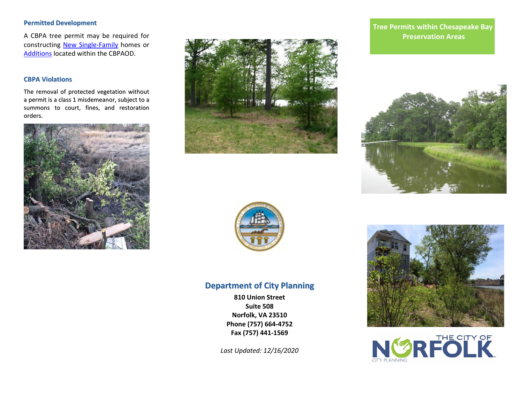# **Permitted Development**

A CBPA tree permit may be required for constructing New Single-Family homes or Additions located within the CBPAOD.

#### **CBPA Violations**

The removal of protected vegetation without a permit is a class 1 misdemeanor, subject to a summons to court, fines, and restoration orders.







# **Department of City Planning**

**810 Union Street Suite 508 Norfolk, VA 23510 Phone (757) 664-4752 Fax (757) 441-1569** 

*Last Updated: 12/16/2020*

# **Tree Permits within Chesapeake Bay PROCESS (SWPP)** Preservation Areas **SWP**